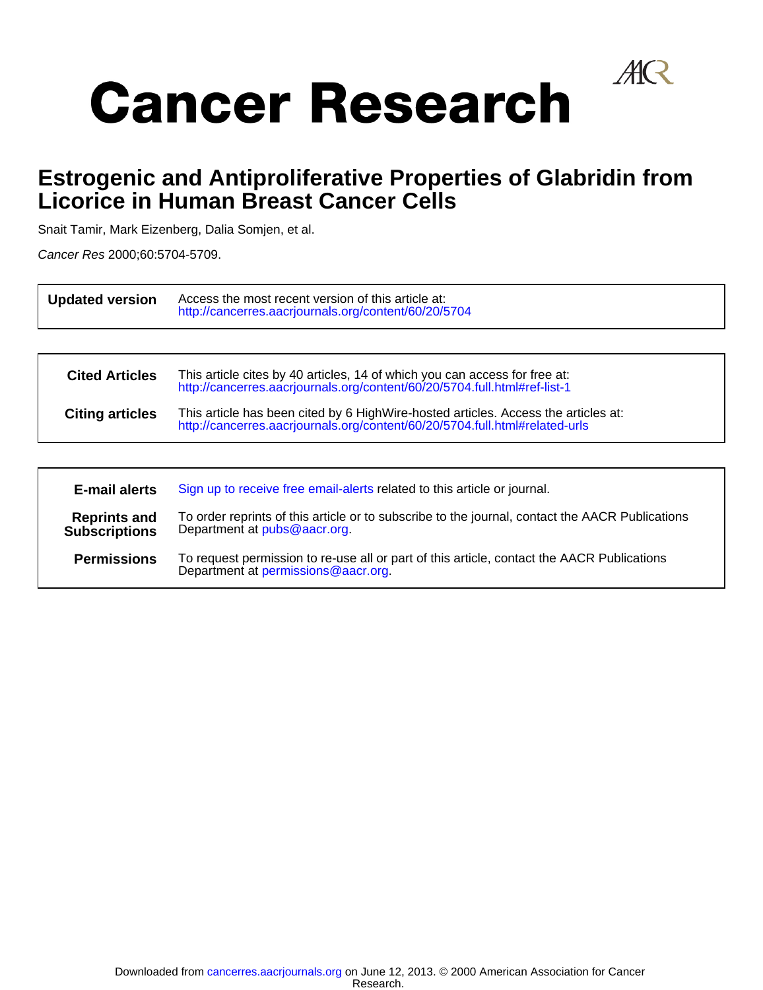

# **Cancer Research**

## **Licorice in Human Breast Cancer Cells Estrogenic and Antiproliferative Properties of Glabridin from**

Snait Tamir, Mark Eizenberg, Dalia Somjen, et al.

Cancer Res 2000;60:5704-5709.

| <b>Updated version</b>                                                                                                                                                           | Access the most recent version of this article at:<br>http://cancerres.aacrjournals.org/content/60/20/5704                                                        |  |  |  |  |
|----------------------------------------------------------------------------------------------------------------------------------------------------------------------------------|-------------------------------------------------------------------------------------------------------------------------------------------------------------------|--|--|--|--|
|                                                                                                                                                                                  |                                                                                                                                                                   |  |  |  |  |
| This article cites by 40 articles, 14 of which you can access for free at:<br><b>Cited Articles</b><br>http://cancerres.aacrjournals.org/content/60/20/5704.full.html#ref-list-1 |                                                                                                                                                                   |  |  |  |  |
| <b>Citing articles</b>                                                                                                                                                           | This article has been cited by 6 HighWire-hosted articles. Access the articles at:<br>http://cancerres.aacrjournals.org/content/60/20/5704.full.html#related-urls |  |  |  |  |
|                                                                                                                                                                                  |                                                                                                                                                                   |  |  |  |  |
| E-mail alerts                                                                                                                                                                    | Sign up to receive free email-alerts related to this article or journal.                                                                                          |  |  |  |  |
| <b>Reprints and</b><br><b>Subscriptions</b>                                                                                                                                      | To order reprints of this article or to subscribe to the journal, contact the AACR Publications<br>Department at pubs@aacr.org.                                   |  |  |  |  |

**Permissions**  $\overline{a}$ Department at [permissions@aacr.org.](mailto:permissions@aacr.org) To request permission to re-use all or part of this article, contact the AACR Publications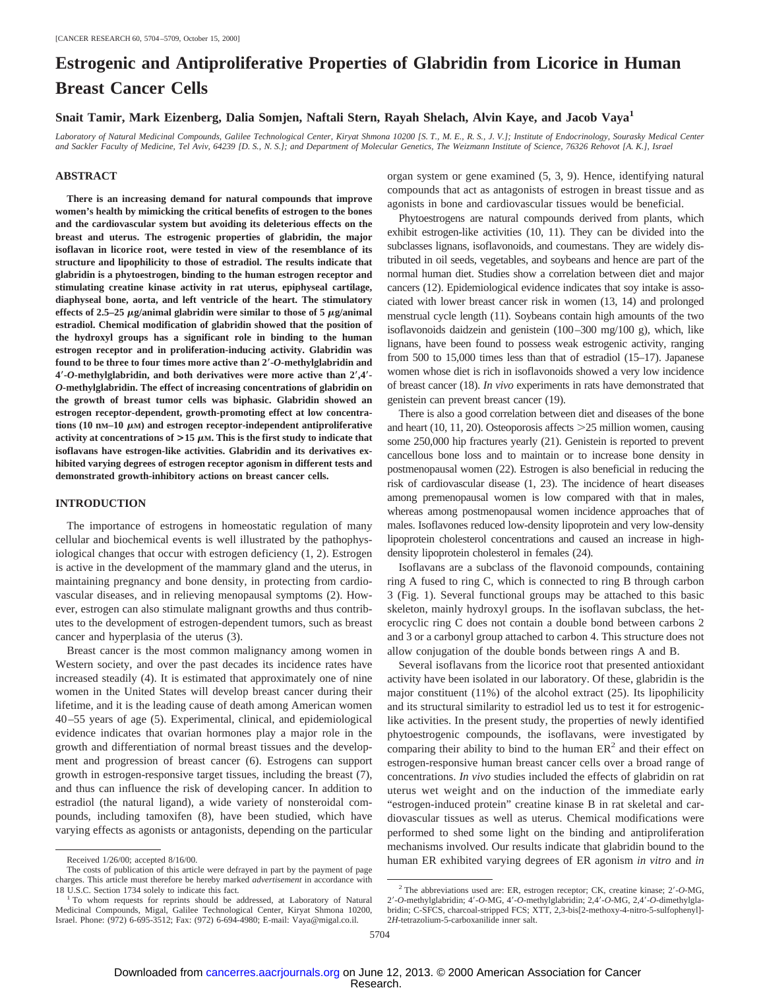### **Estrogenic and Antiproliferative Properties of Glabridin from Licorice in Human Breast Cancer Cells**

**Snait Tamir, Mark Eizenberg, Dalia Somjen, Naftali Stern, Rayah Shelach, Alvin Kaye, and Jacob Vaya1**

*Laboratory of Natural Medicinal Compounds, Galilee Technological Center, Kiryat Shmona 10200 [S. T., M. E., R. S., J. V.]; Institute of Endocrinology, Sourasky Medical Center and Sackler Faculty of Medicine, Tel Aviv, 64239 [D. S., N. S.]; and Department of Molecular Genetics, The Weizmann Institute of Science, 76326 Rehovot [A. K.], Israel*

#### **ABSTRACT**

**There is an increasing demand for natural compounds that improve women's health by mimicking the critical benefits of estrogen to the bones and the cardiovascular system but avoiding its deleterious effects on the breast and uterus. The estrogenic properties of glabridin, the major isoflavan in licorice root, were tested in view of the resemblance of its structure and lipophilicity to those of estradiol. The results indicate that glabridin is a phytoestrogen, binding to the human estrogen receptor and stimulating creatine kinase activity in rat uterus, epiphyseal cartilage, diaphyseal bone, aorta, and left ventricle of the heart. The stimulatory** effects of 2.5–25  $\mu$ g/animal glabridin were similar to those of 5  $\mu$ g/animal **estradiol. Chemical modification of glabridin showed that the position of the hydroxyl groups has a significant role in binding to the human estrogen receptor and in proliferation-inducing activity. Glabridin was found to be three to four times more active than 2**\***-***O***-methylglabridin and 4**\***-***O***-methylglabridin, and both derivatives were more active than 2**\***,4**\***-** *O***-methylglabridin. The effect of increasing concentrations of glabridin on the growth of breast tumor cells was biphasic. Glabridin showed an estrogen receptor-dependent, growth-promoting effect at low concentra**tions (10 nm–10  $\mu$ m) and estrogen receptor-independent antiproliferative activity at concentrations of  $>$ 15  $\mu$ M. This is the first study to indicate that **isoflavans have estrogen-like activities. Glabridin and its derivatives exhibited varying degrees of estrogen receptor agonism in different tests and demonstrated growth-inhibitory actions on breast cancer cells.**

#### **INTRODUCTION**

The importance of estrogens in homeostatic regulation of many cellular and biochemical events is well illustrated by the pathophysiological changes that occur with estrogen deficiency (1, 2). Estrogen is active in the development of the mammary gland and the uterus, in maintaining pregnancy and bone density, in protecting from cardiovascular diseases, and in relieving menopausal symptoms (2). However, estrogen can also stimulate malignant growths and thus contributes to the development of estrogen-dependent tumors, such as breast cancer and hyperplasia of the uterus (3).

Breast cancer is the most common malignancy among women in Western society, and over the past decades its incidence rates have increased steadily (4). It is estimated that approximately one of nine women in the United States will develop breast cancer during their lifetime, and it is the leading cause of death among American women 40–55 years of age (5). Experimental, clinical, and epidemiological evidence indicates that ovarian hormones play a major role in the growth and differentiation of normal breast tissues and the development and progression of breast cancer (6). Estrogens can support growth in estrogen-responsive target tissues, including the breast (7), and thus can influence the risk of developing cancer. In addition to estradiol (the natural ligand), a wide variety of nonsteroidal compounds, including tamoxifen (8), have been studied, which have varying effects as agonists or antagonists, depending on the particular organ system or gene examined (5, 3, 9). Hence, identifying natural compounds that act as antagonists of estrogen in breast tissue and as agonists in bone and cardiovascular tissues would be beneficial.

Phytoestrogens are natural compounds derived from plants, which exhibit estrogen-like activities (10, 11). They can be divided into the subclasses lignans, isoflavonoids, and coumestans. They are widely distributed in oil seeds, vegetables, and soybeans and hence are part of the normal human diet. Studies show a correlation between diet and major cancers (12). Epidemiological evidence indicates that soy intake is associated with lower breast cancer risk in women (13, 14) and prolonged menstrual cycle length (11). Soybeans contain high amounts of the two isoflavonoids daidzein and genistein (100–300 mg/100 g), which, like lignans, have been found to possess weak estrogenic activity, ranging from 500 to 15,000 times less than that of estradiol (15–17). Japanese women whose diet is rich in isoflavonoids showed a very low incidence of breast cancer (18). *In vivo* experiments in rats have demonstrated that genistein can prevent breast cancer (19).

There is also a good correlation between diet and diseases of the bone and heart (10, 11, 20). Osteoporosis affects  $>$  25 million women, causing some 250,000 hip fractures yearly (21). Genistein is reported to prevent cancellous bone loss and to maintain or to increase bone density in postmenopausal women (22). Estrogen is also beneficial in reducing the risk of cardiovascular disease (1, 23). The incidence of heart diseases among premenopausal women is low compared with that in males, whereas among postmenopausal women incidence approaches that of males. Isoflavones reduced low-density lipoprotein and very low-density lipoprotein cholesterol concentrations and caused an increase in highdensity lipoprotein cholesterol in females (24).

Isoflavans are a subclass of the flavonoid compounds, containing ring A fused to ring C, which is connected to ring B through carbon 3 (Fig. 1). Several functional groups may be attached to this basic skeleton, mainly hydroxyl groups. In the isoflavan subclass, the heterocyclic ring C does not contain a double bond between carbons 2 and 3 or a carbonyl group attached to carbon 4. This structure does not allow conjugation of the double bonds between rings A and B.

Several isoflavans from the licorice root that presented antioxidant activity have been isolated in our laboratory. Of these, glabridin is the major constituent (11%) of the alcohol extract (25). Its lipophilicity and its structural similarity to estradiol led us to test it for estrogeniclike activities. In the present study, the properties of newly identified phytoestrogenic compounds, the isoflavans, were investigated by comparing their ability to bind to the human  $ER^2$  and their effect on estrogen-responsive human breast cancer cells over a broad range of concentrations. *In vivo* studies included the effects of glabridin on rat uterus wet weight and on the induction of the immediate early "estrogen-induced protein" creatine kinase B in rat skeletal and cardiovascular tissues as well as uterus. Chemical modifications were performed to shed some light on the binding and antiproliferation mechanisms involved. Our results indicate that glabridin bound to the Received 1/26/00; accepted 8/16/00. human ER exhibited varying degrees of ER agonism *in vitro* and *in* 

The costs of publication of this article were defrayed in part by the payment of page charges. This article must therefore be hereby marked *advertisement* in accordance with 18 U.S.C. Section 1734 solely to indicate this fact. 1 To whom requests for reprints should be addressed, at Laboratory of Natural

Medicinal Compounds, Migal, Galilee Technological Center, Kiryat Shmona 10200, Israel. Phone: (972) 6-695-3512; Fax: (972) 6-694-4980; E-mail: Vaya@migal.co.il.

<sup>&</sup>lt;sup>2</sup> The abbreviations used are: ER, estrogen receptor; CK, creatine kinase; 2'-O-MG, 2'-O-methylglabridin; 4'-O-MG, 4'-O-methylglabridin; 2,4'-O-MG, 2,4'-O-dimethylglabridin; C-SFCS, charcoal-stripped FCS; XTT, 2,3-bis[2-methoxy-4-nitro-5-sulfophenyl]- 2*H*-tetrazolium-5-carboxanilide inner salt.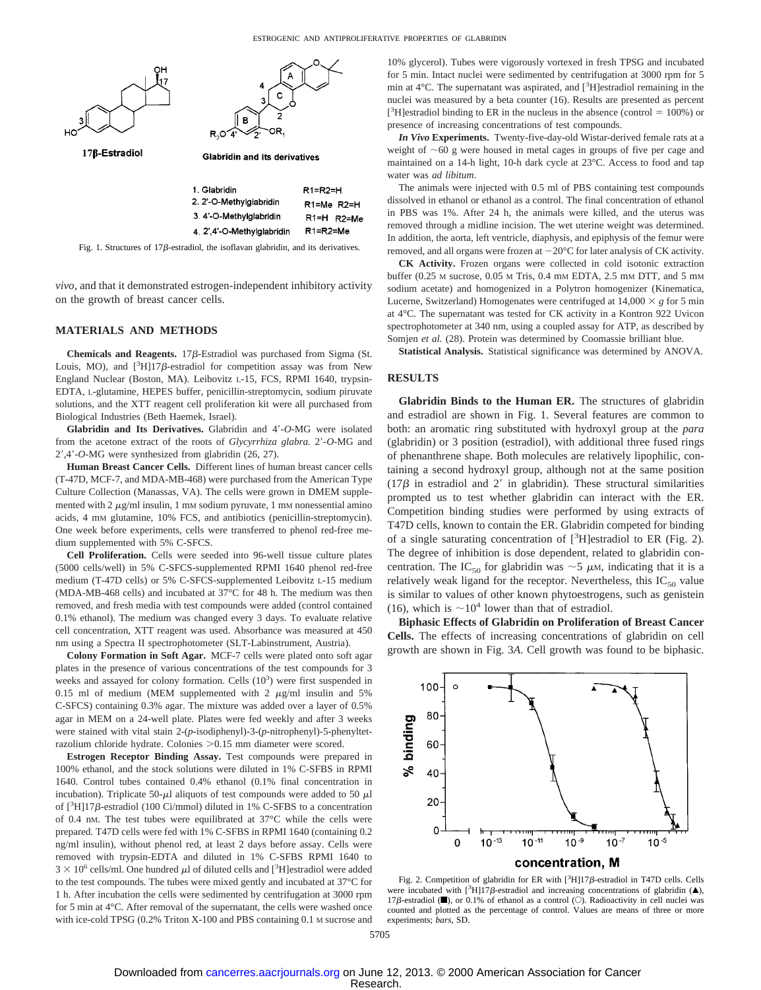

Fig. 1. Structures of  $17\beta$ -estradiol, the isoflavan glabridin, and its derivatives.

*vivo*, and that it demonstrated estrogen-independent inhibitory activity on the growth of breast cancer cells.

#### **MATERIALS AND METHODS**

Chemicals and Reagents. 17 $\beta$ -Estradiol was purchased from Sigma (St. Louis, MO), and  $[^{3}H]17\beta$ -estradiol for competition assay was from New England Nuclear (Boston, MA). Leibovitz L-15, FCS, RPMI 1640, trypsin-EDTA, L-glutamine, HEPES buffer, penicillin-streptomycin, sodium piruvate solutions, and the XTT reagent cell proliferation kit were all purchased from Biological Industries (Beth Haemek, Israel).

**Glabridin and Its Derivatives.** Glabridin and 4'-O-MG were isolated from the acetone extract of the roots of *Glycyrrhiza glabra*. 2'-O-MG and 29,49-*O*-MG were synthesized from glabridin (26, 27).

**Human Breast Cancer Cells.** Different lines of human breast cancer cells (T-47D, MCF-7, and MDA-MB-468) were purchased from the American Type Culture Collection (Manassas, VA). The cells were grown in DMEM supplemented with  $2 \mu g/ml$  insulin, 1 mM sodium pyruvate, 1 mM nonessential amino acids, 4 mM glutamine, 10% FCS, and antibiotics (penicillin-streptomycin). One week before experiments, cells were transferred to phenol red-free medium supplemented with 5% C-SFCS.

**Cell Proliferation.** Cells were seeded into 96-well tissue culture plates (5000 cells/well) in 5% C-SFCS-supplemented RPMI 1640 phenol red-free medium (T-47D cells) or 5% C-SFCS-supplemented Leibovitz L-15 medium (MDA-MB-468 cells) and incubated at 37°C for 48 h. The medium was then removed, and fresh media with test compounds were added (control contained 0.1% ethanol). The medium was changed every 3 days. To evaluate relative cell concentration, XTT reagent was used. Absorbance was measured at 450 nm using a Spectra II spectrophotometer (SLT-Labinstrument, Austria).

**Colony Formation in Soft Agar.** MCF-7 cells were plated onto soft agar plates in the presence of various concentrations of the test compounds for 3 weeks and assayed for colony formation. Cells  $(10^3)$  were first suspended in 0.15 ml of medium (MEM supplemented with 2  $\mu$ g/ml insulin and 5% C-SFCS) containing 0.3% agar. The mixture was added over a layer of 0.5% agar in MEM on a 24-well plate. Plates were fed weekly and after 3 weeks were stained with vital stain 2-(*p***-**isodiphenyl)-3-(*p*-nitrophenyl)-5-phenyltetrazolium chloride hydrate. Colonies > 0.15 mm diameter were scored.

**Estrogen Receptor Binding Assay.** Test compounds were prepared in 100% ethanol, and the stock solutions were diluted in 1% C-SFBS in RPMI 1640. Control tubes contained 0.4% ethanol (0.1% final concentration in incubation). Triplicate 50- $\mu$ l aliquots of test compounds were added to 50  $\mu$ l of [<sup>3</sup>H]17ß-estradiol (100 Ci/mmol) diluted in 1% C-SFBS to a concentration of 0.4 nM. The test tubes were equilibrated at 37°C while the cells were prepared. T47D cells were fed with 1% C-SFBS in RPMI 1640 (containing 0.2 ng/ml insulin), without phenol red, at least 2 days before assay. Cells were removed with trypsin-EDTA and diluted in 1% C-SFBS RPMI 1640 to  $3 \times 10^6$  cells/ml. One hundred  $\mu$ l of diluted cells and [<sup>3</sup>H]estradiol were added to the test compounds. The tubes were mixed gently and incubated at 37°C for 1 h. After incubation the cells were sedimented by centrifugation at 3000 rpm for 5 min at 4°C. After removal of the supernatant, the cells were washed once with ice-cold TPSG (0.2% Triton X-100 and PBS containing 0.1 M sucrose and 10% glycerol). Tubes were vigorously vortexed in fresh TPSG and incubated for 5 min. Intact nuclei were sedimented by centrifugation at 3000 rpm for 5 min at 4°C. The supernatant was aspirated, and [<sup>3</sup>H]estradiol remaining in the nuclei was measured by a beta counter (16). Results are presented as percent [<sup>3</sup>H]estradiol binding to ER in the nucleus in the absence (control = 100%) or presence of increasing concentrations of test compounds.

*In Vivo* **Experiments.** Twenty-five-day-old Wistar-derived female rats at a weight of  $\sim 60$  g were housed in metal cages in groups of five per cage and maintained on a 14-h light, 10-h dark cycle at 23°C. Access to food and tap water was *ad libitum*.

The animals were injected with 0.5 ml of PBS containing test compounds dissolved in ethanol or ethanol as a control. The final concentration of ethanol in PBS was 1%. After 24 h, the animals were killed, and the uterus was removed through a midline incision. The wet uterine weight was determined. In addition, the aorta, left ventricle, diaphysis, and epiphysis of the femur were removed, and all organs were frozen at  $-20^{\circ}$ C for later analysis of CK activity.

**CK Activity.** Frozen organs were collected in cold isotonic extraction buffer (0.25 M sucrose, 0.05 M Tris, 0.4 mM EDTA, 2.5 mM DTT, and 5 mM sodium acetate) and homogenized in a Polytron homogenizer (Kinematica, Lucerne, Switzerland) Homogenates were centrifuged at  $14,000 \times g$  for 5 min at 4°C. The supernatant was tested for CK activity in a Kontron 922 Uvicon spectrophotometer at 340 nm, using a coupled assay for ATP, as described by Somjen et al. (28). Protein was determined by Coomassie brilliant blue.

**Statistical Analysis.** Statistical significance was determined by ANOVA.

#### **RESULTS**

**Glabridin Binds to the Human ER.** The structures of glabridin and estradiol are shown in Fig. 1. Several features are common to both: an aromatic ring substituted with hydroxyl group at the *para* (glabridin) or 3 position (estradiol), with additional three fused rings of phenanthrene shape. Both molecules are relatively lipophilic, containing a second hydroxyl group, although not at the same position (17 $\beta$  in estradiol and 2' in glabridin). These structural similarities prompted us to test whether glabridin can interact with the ER. Competition binding studies were performed by using extracts of T47D cells, known to contain the ER. Glabridin competed for binding of a single saturating concentration of  $[^3H]$ estradiol to ER (Fig. 2). The degree of inhibition is dose dependent, related to glabridin concentration. The IC<sub>50</sub> for glabridin was  $\sim$ 5  $\mu$ M, indicating that it is a relatively weak ligand for the receptor. Nevertheless, this  $IC_{50}$  value is similar to values of other known phytoestrogens, such as genistein (16), which is  $\sim 10^4$  lower than that of estradiol.

**Biphasic Effects of Glabridin on Proliferation of Breast Cancer Cells.** The effects of increasing concentrations of glabridin on cell growth are shown in Fig. 3*A*. Cell growth was found to be biphasic.



Fig. 2. Competition of glabridin for ER with  $[3H]17\beta$ -estradiol in T47D cells. Cells were incubated with  $[^{3}H]17\beta$ -estradiol and increasing concentrations of glabridin (A), 17 $\beta$ -estradiol ( $\blacksquare$ ), or 0.1% of ethanol as a control ( $\bigcirc$ ). Radioactivity in cell nuclei was counted and plotted as the percentage of control. Values are means of three or more experiments; *bars,* SD.

5705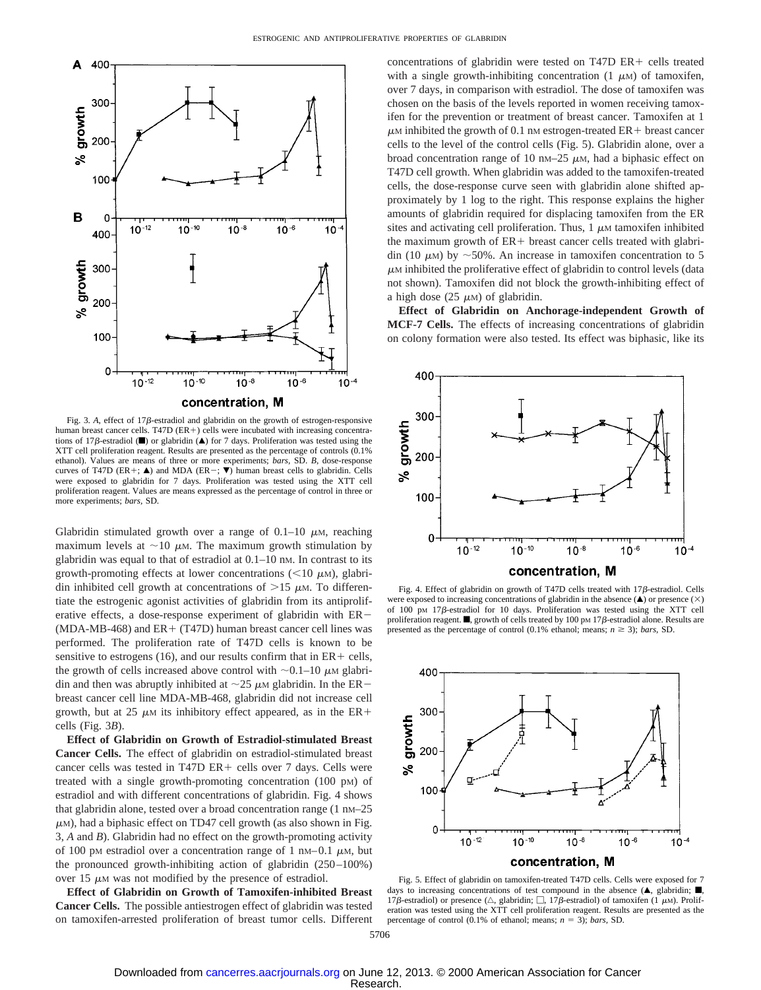

Fig. 3. A, effect of 17 $\beta$ -estradiol and glabridin on the growth of estrogen-responsive human breast cancer cells. T47D ( $ER+$ ) cells were incubated with increasing concentrations of 17 $\beta$ -estradiol ( $\blacksquare$ ) or glabridin ( $\blacktriangle$ ) for 7 days. Proliferation was tested using the XTT cell proliferation reagent. Results are presented as the percentage of controls (0.1% ethanol). Values are means of three or more experiments; *bars,* SD. *B*, dose-response curves of T47D (ER+;  $\triangle$ ) and MDA (ER-;  $\nabla$ ) human breast cells to glabridin. Cells were exposed to glabridin for 7 days. Proliferation was tested using the XTT cell proliferation reagent. Values are means expressed as the percentage of control in three or more experiments; *bars,* SD.

Glabridin stimulated growth over a range of  $0.1-10 \mu$ M, reaching maximum levels at  $\sim$ 10  $\mu$ M. The maximum growth stimulation by glabridin was equal to that of estradiol at 0.1–10 nM. In contrast to its growth-promoting effects at lower concentrations ( $<$ 10  $\mu$ M), glabridin inhibited cell growth at concentrations of  $>15 \mu$ M. To differentiate the estrogenic agonist activities of glabridin from its antiproliferative effects, a dose-response experiment of glabridin with  $ER-$ (MDA-MB-468) and  $ER + (T47D)$  human breast cancer cell lines was performed. The proliferation rate of T47D cells is known to be sensitive to estrogens (16), and our results confirm that in  $ER +$  cells, the growth of cells increased above control with  $\sim 0.1-10 \mu$ M glabridin and then was abruptly inhibited at  $\sim$ 25  $\mu$ M glabridin. In the ER breast cancer cell line MDA-MB-468, glabridin did not increase cell growth, but at 25  $\mu$ M its inhibitory effect appeared, as in the ER+ cells (Fig. 3*B*).

**Effect of Glabridin on Growth of Estradiol-stimulated Breast Cancer Cells.** The effect of glabridin on estradiol-stimulated breast cancer cells was tested in T47D ER+ cells over 7 days. Cells were treated with a single growth-promoting concentration (100 pM) of estradiol and with different concentrations of glabridin. Fig. 4 shows that glabridin alone, tested over a broad concentration range  $(1 \text{ nm}-25)$  $\mu$ M), had a biphasic effect on TD47 cell growth (as also shown in Fig. 3, *A* and *B*). Glabridin had no effect on the growth-promoting activity of 100 pM estradiol over a concentration range of 1 nM–0.1  $\mu$ M, but the pronounced growth-inhibiting action of glabridin (250–100%) over 15  $\mu$ M was not modified by the presence of estradiol.

**Effect of Glabridin on Growth of Tamoxifen-inhibited Breast Cancer Cells.** The possible antiestrogen effect of glabridin was tested on tamoxifen-arrested proliferation of breast tumor cells. Different

concentrations of glabridin were tested on T47D  $ER +$  cells treated with a single growth-inhibiting concentration  $(1 \mu M)$  of tamoxifen, over 7 days, in comparison with estradiol. The dose of tamoxifen was chosen on the basis of the levels reported in women receiving tamoxifen for the prevention or treatment of breast cancer. Tamoxifen at 1  $\mu$ M inhibited the growth of 0.1 nM estrogen-treated ER+ breast cancer cells to the level of the control cells (Fig. 5). Glabridin alone, over a broad concentration range of 10 nm–25  $\mu$ m, had a biphasic effect on T47D cell growth. When glabridin was added to the tamoxifen-treated cells, the dose-response curve seen with glabridin alone shifted approximately by 1 log to the right. This response explains the higher amounts of glabridin required for displacing tamoxifen from the ER sites and activating cell proliferation. Thus,  $1 \mu$ M tamoxifen inhibited the maximum growth of  $ER +$  breast cancer cells treated with glabridin (10  $\mu$ M) by  $\sim$  50%. An increase in tamoxifen concentration to 5  $\mu$ M inhibited the proliferative effect of glabridin to control levels (data not shown). Tamoxifen did not block the growth-inhibiting effect of a high dose (25  $\mu$ M) of glabridin.

**Effect of Glabridin on Anchorage-independent Growth of MCF-7 Cells.** The effects of increasing concentrations of glabridin on colony formation were also tested. Its effect was biphasic, like its



Fig. 4. Effect of glabridin on growth of T47D cells treated with  $17\beta$ -estradiol. Cells were exposed to increasing concentrations of glabridin in the absence  $(\triangle)$  or presence  $(\times)$ of 100 pM 17b-estradiol for 10 days. Proliferation was tested using the XTT cell proliferation reagent.  $\blacksquare$ , growth of cells treated by 100 pm 17 $\beta$ -estradiol alone. Results are presented as the percentage of control (0.1% ethanol; means;  $n \ge 3$ ); *bars*, SD.



Fig. 5. Effect of glabridin on tamoxifen-treated T47D cells. Cells were exposed for 7 days to increasing concentrations of test compound in the absence  $(A, g$ labridin;  $\blacksquare$ 17 $\beta$ -estradiol) or presence ( $\triangle$ , glabridin;  $\Box$ , 17 $\beta$ -estradiol) of tamoxifen (1  $\mu$ M). Proliferation was tested using the XTT cell proliferation reagent. Results are presented as the percentage of control  $(0.1\%$  of ethanol; means;  $n = 3$ ); *bars*, SD.

5706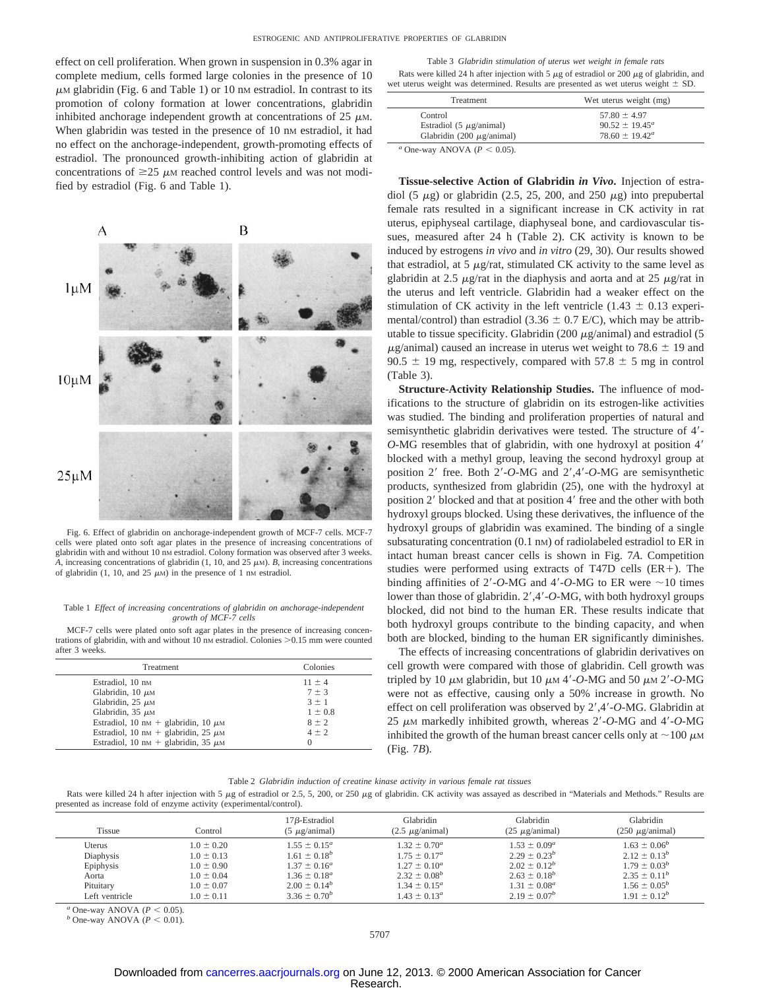effect on cell proliferation. When grown in suspension in 0.3% agar in complete medium, cells formed large colonies in the presence of 10  $\mu$ M glabridin (Fig. 6 and Table 1) or 10 nM estradiol. In contrast to its promotion of colony formation at lower concentrations, glabridin inhibited anchorage independent growth at concentrations of  $25 \mu M$ . When glabridin was tested in the presence of 10 nm estradiol, it had no effect on the anchorage-independent, growth-promoting effects of estradiol. The pronounced growth-inhibiting action of glabridin at concentrations of  $\geq$ 25  $\mu$ M reached control levels and was not modified by estradiol (Fig. 6 and Table 1). **Tissue-selective Action of Glabridin** *in Vivo***.** Injection of estra-



Fig. 6. Effect of glabridin on anchorage-independent growth of MCF-7 cells. MCF-7 cells were plated onto soft agar plates in the presence of increasing concentrations of glabridin with and without 10 nM estradiol. Colony formation was observed after 3 weeks. *A*, increasing concentrations of glabridin (1, 10, and 25  $\mu$ M). *B*, increasing concentrations of glabridin (1, 10, and 25  $\mu$ M) in the presence of 1 nM estradiol.

#### Table 1 *Effect of increasing concentrations of glabridin on anchorage-independent growth of MCF-7 cells*

MCF-7 cells were plated onto soft agar plates in the presence of increasing concentrations of glabridin, with and without 10 nm estradiol. Colonies  $> 0.15$  mm were counted after 3 weeks.

| Treatment                                | Colonies    |  |
|------------------------------------------|-------------|--|
| Estradiol, 10 nm                         | $11 \pm 4$  |  |
| Glabridin, $10 \mu$ M                    | $7 \pm 3$   |  |
| Glabridin, $25 \mu M$                    | $3 \pm 1$   |  |
| Glabridin, $35 \mu M$                    | $1 \pm 0.8$ |  |
| Estradiol, 10 nm + glabridin, 10 $\mu$ m | $8 \pm 2$   |  |
| Estradiol, 10 nm + glabridin, 25 $\mu$ M | $4 \pm 2$   |  |
| Estradiol, 10 nm + glabridin, 35 $\mu$ m | $\Omega$    |  |

| Table 3 Glabridin stimulation of uterus wet weight in female rats                                  |  |
|----------------------------------------------------------------------------------------------------|--|
| Rats were killed 24 h after injection with 5 $\mu$ g of estradiol or 200 $\mu$ g of glabridin, and |  |
| wet uterus weight was determined. Results are presented as wet uterus weight $\pm$ SD.             |  |

| <b>Treatment</b>                                    | Wet uterus weight (mg)    |
|-----------------------------------------------------|---------------------------|
| Control                                             | $57.80 \pm 4.97$          |
| Estradiol $(5 \mu g / \text{animal})$               | $90.52 \pm 19.45^a$       |
| Glabridin (200 $\mu$ g/animal)                      | $78.60 \pm 19.42^{\circ}$ |
| $a_{\text{Ono} \text{ max}}$ ANOVA (D $\geq 0.05$ ) |                           |

One-way ANOVA  $(P < 0.05)$ .

diol (5  $\mu$ g) or glabridin (2.5, 25, 200, and 250  $\mu$ g) into prepubertal female rats resulted in a significant increase in CK activity in rat uterus, epiphyseal cartilage, diaphyseal bone, and cardiovascular tissues, measured after 24 h (Table 2). CK activity is known to be induced by estrogens *in vivo* and *in vitro* (29, 30). Our results showed that estradiol, at 5  $\mu$ g/rat, stimulated CK activity to the same level as glabridin at 2.5  $\mu$ g/rat in the diaphysis and aorta and at 25  $\mu$ g/rat in the uterus and left ventricle. Glabridin had a weaker effect on the stimulation of CK activity in the left ventricle (1.43  $\pm$  0.13 experimental/control) than estradiol (3.36  $\pm$  0.7 E/C), which may be attributable to tissue specificity. Glabridin (200  $\mu$ g/animal) and estradiol (5  $\mu$ g/animal) caused an increase in uterus wet weight to 78.6  $\pm$  19 and 90.5  $\pm$  19 mg, respectively, compared with 57.8  $\pm$  5 mg in control (Table 3).

**Structure-Activity Relationship Studies.** The influence of modifications to the structure of glabridin on its estrogen-like activities was studied. The binding and proliferation properties of natural and semisynthetic glabridin derivatives were tested. The structure of 4'-*O*-MG resembles that of glabridin, with one hydroxyl at position 4' blocked with a methyl group, leaving the second hydroxyl group at position 2' free. Both 2'-O-MG and 2',4'-O-MG are semisynthetic products, synthesized from glabridin (25), one with the hydroxyl at position 2' blocked and that at position 4' free and the other with both hydroxyl groups blocked. Using these derivatives, the influence of the hydroxyl groups of glabridin was examined. The binding of a single subsaturating concentration (0.1 nm) of radiolabeled estradiol to ER in intact human breast cancer cells is shown in Fig. 7*A*. Competition studies were performed using extracts of T47D cells  $(ER+)$ . The binding affinities of  $2'$ -*O*-MG and  $4'$ -*O*-MG to ER were  $\sim$ 10 times lower than those of glabridin. 2',4'-O-MG, with both hydroxyl groups blocked, did not bind to the human ER. These results indicate that both hydroxyl groups contribute to the binding capacity, and when both are blocked, binding to the human ER significantly diminishes.

The effects of increasing concentrations of glabridin derivatives on cell growth were compared with those of glabridin. Cell growth was tripled by 10  $\mu$ m glabridin, but 10  $\mu$ m 4'-O-MG and 50  $\mu$ m 2'-O-MG were not as effective, causing only a 50% increase in growth. No effect on cell proliferation was observed by 2',4'-O-MG. Glabridin at 25 μM markedly inhibited growth, whereas 2'-O-MG and 4'-O-MG inhibited the growth of the human breast cancer cells only at  $\sim$ 100  $\mu$ M (Fig. 7*B*).

Table 2 *Glabridin induction of creatine kinase activity in various female rat tissues*

Rats were killed 24 h after injection with 5  $\mu$ g of estradiol or 2.5, 5, 200, or 250  $\mu$ g of glabridin. CK activity was assayed as described in "Materials and Methods." Results are presented as increase fold of enzyme activity (experimental/control).

| <b>Tissue</b>  | Control        | $17\beta$ -Estradiol<br>$(5 \mu$ g/animal) | Glabridin<br>$(2.5 \mu g / \text{animal})$ | Glabridin<br>$(25 \mu g / \text{animal})$ | Glabridin<br>$(250 \mu g / \text{animal})$ |
|----------------|----------------|--------------------------------------------|--------------------------------------------|-------------------------------------------|--------------------------------------------|
| Uterus         | $1.0 \pm 0.20$ | $1.55 \pm 0.15^a$                          | $1.32 \pm 0.70^a$                          | $1.53 \pm 0.09^a$                         | $1.63 \pm 0.06^b$                          |
| Diaphysis      | $1.0 \pm 0.13$ | $1.61 \pm 0.18^b$                          | $1.75 \pm 0.17^a$                          | $2.29 \pm 0.23^b$                         | $2.12 \pm 0.13^b$                          |
| Epiphysis      | $1.0 \pm 0.90$ | $1.37 \pm 0.16^a$                          | $1.27 \pm 0.10^a$                          | $2.02 \pm 0.12^b$                         | $1.79 \pm 0.03^b$                          |
| Aorta          | $1.0 \pm 0.04$ | $1.36 \pm 0.18^a$                          | $2.32 \pm 0.08^{b}$                        | $2.63 \pm 0.18^{b}$                       | $2.35 \pm 0.11^b$                          |
| Pituitary      | $1.0 \pm 0.07$ | $2.00 \pm 0.14^b$                          | $1.34 \pm 0.15^a$                          | $1.31 \pm 0.08^a$                         | $1.56 \pm 0.05^b$                          |
| Left ventricle | $1.0 \pm 0.11$ | $3.36 \pm 0.70^b$                          | $1.43 \pm 0.13^{\circ}$                    | $2.19 \pm 0.07^b$                         | $1.91 \pm 0.12^b$                          |

*a* One-way ANOVA ( $P < 0.05$ ). *b* One-way ANOVA ( $P < 0.01$ ).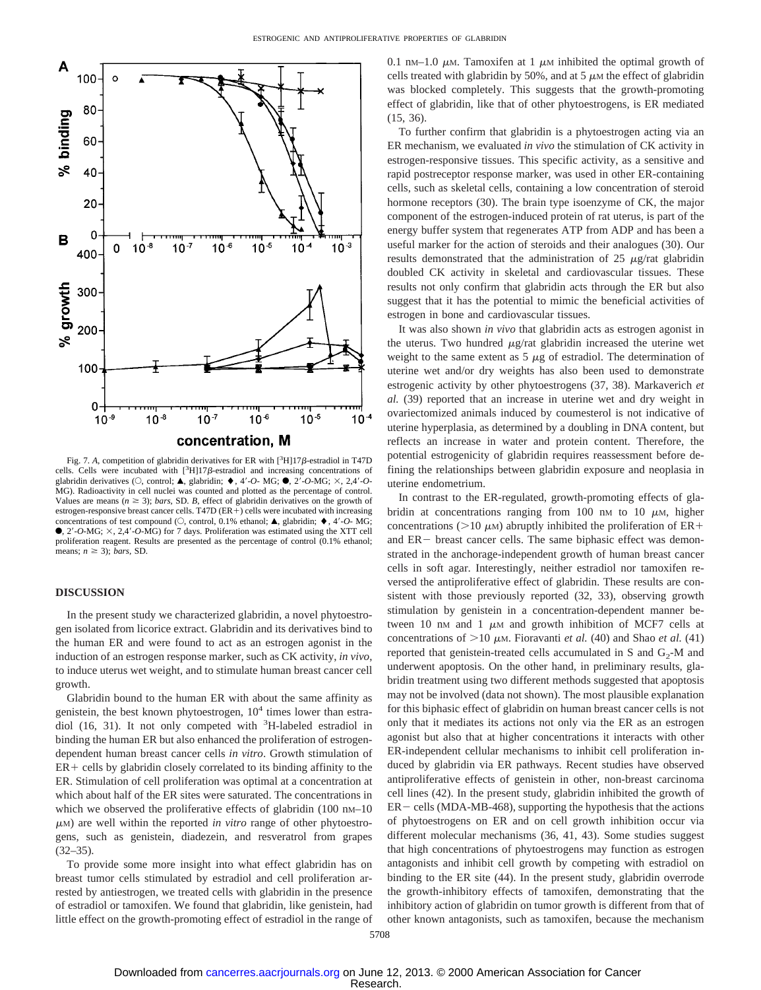

Fig. 7. A, competition of glabridin derivatives for ER with  $[^3H]17\beta$ -estradiol in T47D cells. Cells were incubated with  $[^{3}H]17\beta$ -estradiol and increasing concentrations of glabridin derivatives ( $\circlearrowleft$ , control;  $\blacktriangle$ , glabridin;  $\blacklozenge$ , 4'-*O*- MG;  $\blacklozenge$ , 2<sup>T</sup>-*O*-MG;  $\times$ , 2,4'-*O*-MG). Radioactivity in cell nuclei was counted and plotted as the percentage of control. Values are means  $(n \geq 3)$ ; *bars*, SD. *B*, effect of glabridin derivatives on the growth of estrogen-responsive breast cancer cells. T47D (ER+) cells were incubated with increasing concentrations of test compound ( $\circlearrowleft$ , control, 0.1% ethanol;  $\blacktriangle$ , glabridin;  $\blacklozenge$ , 4'-*O*- MG;  $\bullet$ , 2'-O-MG;  $\times$ , 2,4'-O-MG) for 7 days. Proliferation was estimated using the XTT cell proliferation reagent. Results are presented as the percentage of control (0.1% ethanol; means;  $n \geq 3$ ); *bars*, SD

#### **DISCUSSION**

In the present study we characterized glabridin, a novel phytoestrogen isolated from licorice extract. Glabridin and its derivatives bind to the human ER and were found to act as an estrogen agonist in the induction of an estrogen response marker, such as CK activity, *in vivo*, to induce uterus wet weight, and to stimulate human breast cancer cell growth.

Glabridin bound to the human ER with about the same affinity as genistein, the best known phytoestrogen,  $10<sup>4</sup>$  times lower than estradiol (16, 31). It not only competed with <sup>3</sup>H-labeled estradiol in binding the human ER but also enhanced the proliferation of estrogendependent human breast cancer cells *in vitro*. Growth stimulation of  $ER +$  cells by glabridin closely correlated to its binding affinity to the ER. Stimulation of cell proliferation was optimal at a concentration at which about half of the ER sites were saturated. The concentrations in which we observed the proliferative effects of glabridin  $(100 \text{ nm} - 10$  $\mu$ M) are well within the reported *in vitro* range of other phytoestrogens, such as genistein, diadezein, and resveratrol from grapes  $(32-35)$ .

To provide some more insight into what effect glabridin has on breast tumor cells stimulated by estradiol and cell proliferation arrested by antiestrogen, we treated cells with glabridin in the presence of estradiol or tamoxifen. We found that glabridin, like genistein, had little effect on the growth-promoting effect of estradiol in the range of

0.1 nM–1.0  $\mu$ M. Tamoxifen at 1  $\mu$ M inhibited the optimal growth of cells treated with glabridin by 50%, and at 5  $\mu$ M the effect of glabridin was blocked completely. This suggests that the growth-promoting effect of glabridin, like that of other phytoestrogens, is ER mediated (15, 36).

To further confirm that glabridin is a phytoestrogen acting via an ER mechanism, we evaluated *in vivo* the stimulation of CK activity in estrogen-responsive tissues. This specific activity, as a sensitive and rapid postreceptor response marker, was used in other ER-containing cells, such as skeletal cells, containing a low concentration of steroid hormone receptors (30). The brain type isoenzyme of CK, the major component of the estrogen-induced protein of rat uterus, is part of the energy buffer system that regenerates ATP from ADP and has been a useful marker for the action of steroids and their analogues (30). Our results demonstrated that the administration of  $25 \mu g/r$ at glabridin doubled CK activity in skeletal and cardiovascular tissues. These results not only confirm that glabridin acts through the ER but also suggest that it has the potential to mimic the beneficial activities of estrogen in bone and cardiovascular tissues.

It was also shown *in vivo* that glabridin acts as estrogen agonist in the uterus. Two hundred  $\mu$ g/rat glabridin increased the uterine wet weight to the same extent as  $5 \mu$ g of estradiol. The determination of uterine wet and/or dry weights has also been used to demonstrate estrogenic activity by other phytoestrogens (37, 38). Markaverich *et al.* (39) reported that an increase in uterine wet and dry weight in ovariectomized animals induced by coumesterol is not indicative of uterine hyperplasia, as determined by a doubling in DNA content, but reflects an increase in water and protein content. Therefore, the potential estrogenicity of glabridin requires reassessment before defining the relationships between glabridin exposure and neoplasia in uterine endometrium.

In contrast to the ER-regulated, growth-promoting effects of glabridin at concentrations ranging from 100 nm to 10  $\mu$ M, higher concentrations ( $>10 \mu$ M) abruptly inhibited the proliferation of ER+ and  $ER-$  breast cancer cells. The same biphasic effect was demonstrated in the anchorage-independent growth of human breast cancer cells in soft agar. Interestingly, neither estradiol nor tamoxifen reversed the antiproliferative effect of glabridin. These results are consistent with those previously reported (32, 33), observing growth stimulation by genistein in a concentration-dependent manner between 10 nm and 1  $\mu$ m and growth inhibition of MCF7 cells at concentrations of  $>10 \mu$ m. Fioravanti *et al.* (40) and Shao *et al.* (41) reported that genistein-treated cells accumulated in S and  $G_2$ -M and underwent apoptosis. On the other hand, in preliminary results, glabridin treatment using two different methods suggested that apoptosis may not be involved (data not shown). The most plausible explanation for this biphasic effect of glabridin on human breast cancer cells is not only that it mediates its actions not only via the ER as an estrogen agonist but also that at higher concentrations it interacts with other ER-independent cellular mechanisms to inhibit cell proliferation induced by glabridin via ER pathways. Recent studies have observed antiproliferative effects of genistein in other, non-breast carcinoma cell lines (42). In the present study, glabridin inhibited the growth of  $ER -$  cells (MDA-MB-468), supporting the hypothesis that the actions of phytoestrogens on ER and on cell growth inhibition occur via different molecular mechanisms (36, 41, 43). Some studies suggest that high concentrations of phytoestrogens may function as estrogen antagonists and inhibit cell growth by competing with estradiol on binding to the ER site (44). In the present study, glabridin overrode the growth-inhibitory effects of tamoxifen, demonstrating that the inhibitory action of glabridin on tumor growth is different from that of other known antagonists, such as tamoxifen, because the mechanism